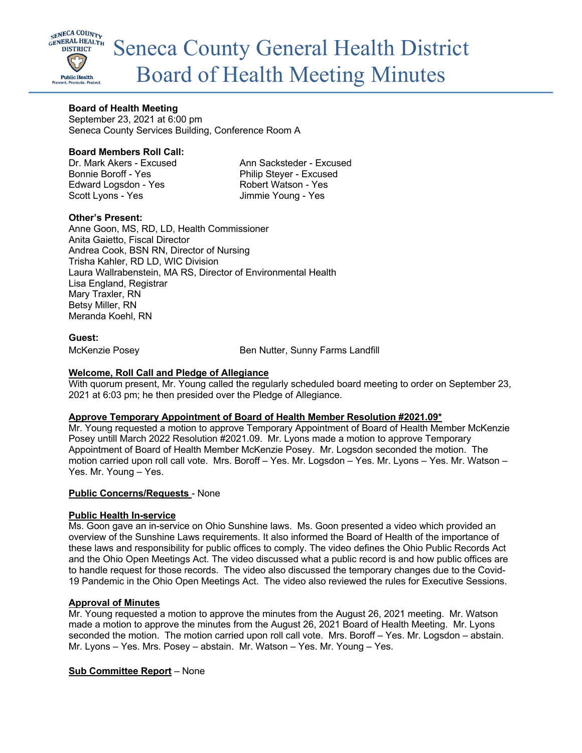

# **Board of Health Meeting**

September 23, 2021 at 6:00 pm Seneca County Services Building, Conference Room A

# **Board Members Roll Call:**

Bonnie Boroff - Yes Philip Steyer - Excused Edward Logsdon - Yes Robert Watson - Yes Scott Lyons - Yes **Jimmie Young - Yes** 

Dr. Mark Akers - Excused Ann Sacksteder - Excused

# **Other's Present:**

Anne Goon, MS, RD, LD, Health Commissioner Anita Gaietto, Fiscal Director Andrea Cook, BSN RN, Director of Nursing Trisha Kahler, RD LD, WIC Division Laura Wallrabenstein, MA RS, Director of Environmental Health Lisa England, Registrar Mary Traxler, RN Betsy Miller, RN Meranda Koehl, RN

# **Guest:**

McKenzie Posey **Ben Nutter**, Sunny Farms Landfill

# **Welcome, Roll Call and Pledge of Allegiance**

With quorum present, Mr. Young called the regularly scheduled board meeting to order on September 23, 2021 at 6:03 pm; he then presided over the Pledge of Allegiance.

## **Approve Temporary Appointment of Board of Health Member Resolution #2021.09\***

Mr. Young requested a motion to approve Temporary Appointment of Board of Health Member McKenzie Posey untill March 2022 Resolution #2021.09. Mr. Lyons made a motion to approve Temporary Appointment of Board of Health Member McKenzie Posey. Mr. Logsdon seconded the motion. The motion carried upon roll call vote. Mrs. Boroff – Yes. Mr. Logsdon – Yes. Mr. Lyons – Yes. Mr. Watson – Yes. Mr. Young – Yes.

## **Public Concerns/Requests** - None

## **Public Health In-service**

Ms. Goon gave an in-service on Ohio Sunshine laws. Ms. Goon presented a video which provided an overview of the Sunshine Laws requirements. It also informed the Board of Health of the importance of these laws and responsibility for public offices to comply. The video defines the Ohio Public Records Act and the Ohio Open Meetings Act. The video discussed what a public record is and how public offices are to handle request for those records. The video also discussed the temporary changes due to the Covid-19 Pandemic in the Ohio Open Meetings Act. The video also reviewed the rules for Executive Sessions.

## **Approval of Minutes**

Mr. Young requested a motion to approve the minutes from the August 26, 2021 meeting. Mr. Watson made a motion to approve the minutes from the August 26, 2021 Board of Health Meeting. Mr. Lyons seconded the motion. The motion carried upon roll call vote. Mrs. Boroff – Yes. Mr. Logsdon – abstain. Mr. Lyons – Yes. Mrs. Posey – abstain. Mr. Watson – Yes. Mr. Young – Yes.

## **Sub Committee Report** – None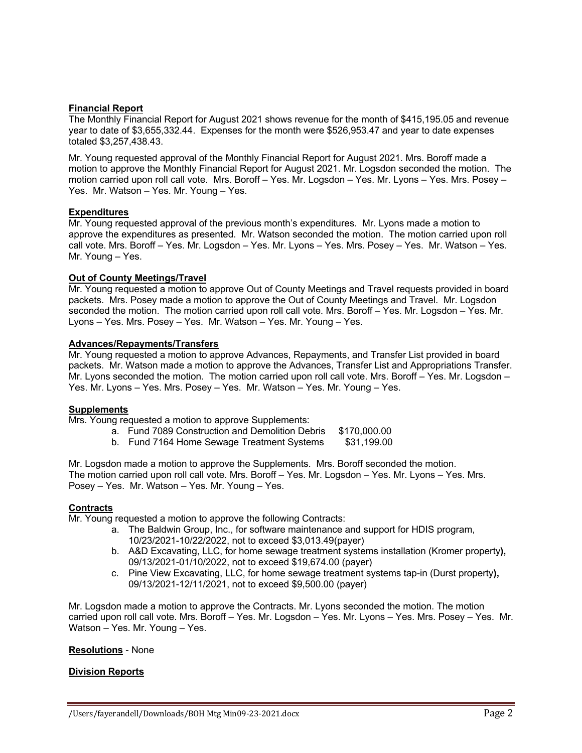## **Financial Report**

The Monthly Financial Report for August 2021 shows revenue for the month of \$415,195.05 and revenue year to date of \$3,655,332.44. Expenses for the month were \$526,953.47 and year to date expenses totaled \$3,257,438.43.

Mr. Young requested approval of the Monthly Financial Report for August 2021. Mrs. Boroff made a motion to approve the Monthly Financial Report for August 2021. Mr. Logsdon seconded the motion. The motion carried upon roll call vote. Mrs. Boroff – Yes. Mr. Logsdon – Yes. Mr. Lyons – Yes. Mrs. Posey – Yes. Mr. Watson – Yes. Mr. Young – Yes.

# **Expenditures**

Mr. Young requested approval of the previous month's expenditures. Mr. Lyons made a motion to approve the expenditures as presented. Mr. Watson seconded the motion. The motion carried upon roll call vote. Mrs. Boroff – Yes. Mr. Logsdon – Yes. Mr. Lyons – Yes. Mrs. Posey – Yes. Mr. Watson – Yes. Mr. Young – Yes.

# **Out of County Meetings/Travel**

Mr. Young requested a motion to approve Out of County Meetings and Travel requests provided in board packets. Mrs. Posey made a motion to approve the Out of County Meetings and Travel. Mr. Logsdon seconded the motion. The motion carried upon roll call vote. Mrs. Boroff – Yes. Mr. Logsdon – Yes. Mr. Lyons – Yes. Mrs. Posey – Yes. Mr. Watson – Yes. Mr. Young – Yes.

# **Advances/Repayments/Transfers**

Mr. Young requested a motion to approve Advances, Repayments, and Transfer List provided in board packets. Mr. Watson made a motion to approve the Advances, Transfer List and Appropriations Transfer. Mr. Lyons seconded the motion. The motion carried upon roll call vote. Mrs. Boroff – Yes. Mr. Logsdon – Yes. Mr. Lyons – Yes. Mrs. Posey – Yes. Mr. Watson – Yes. Mr. Young – Yes.

# **Supplements**

Mrs. Young requested a motion to approve Supplements:

- a. Fund 7089 Construction and Demolition Debris \$170,000.00
- b. Fund 7164 Home Sewage Treatment Systems \$31,199.00

Mr. Logsdon made a motion to approve the Supplements. Mrs. Boroff seconded the motion. The motion carried upon roll call vote. Mrs. Boroff – Yes. Mr. Logsdon – Yes. Mr. Lyons – Yes. Mrs. Posey – Yes. Mr. Watson – Yes. Mr. Young – Yes.

## **Contracts**

Mr. Young requested a motion to approve the following Contracts:

- a. The Baldwin Group, Inc., for software maintenance and support for HDIS program, 10/23/2021-10/22/2022, not to exceed \$3,013.49(payer)
- b. A&D Excavating, LLC, for home sewage treatment systems installation (Kromer property**),**  09/13/2021-01/10/2022, not to exceed \$19,674.00 (payer)
- c. Pine View Excavating, LLC, for home sewage treatment systems tap-in (Durst property**),**  09/13/2021-12/11/2021, not to exceed \$9,500.00 (payer)

Mr. Logsdon made a motion to approve the Contracts. Mr. Lyons seconded the motion. The motion carried upon roll call vote. Mrs. Boroff – Yes. Mr. Logsdon – Yes. Mr. Lyons – Yes. Mrs. Posey – Yes. Mr. Watson – Yes. Mr. Young – Yes.

## **Resolutions** - None

## **Division Reports**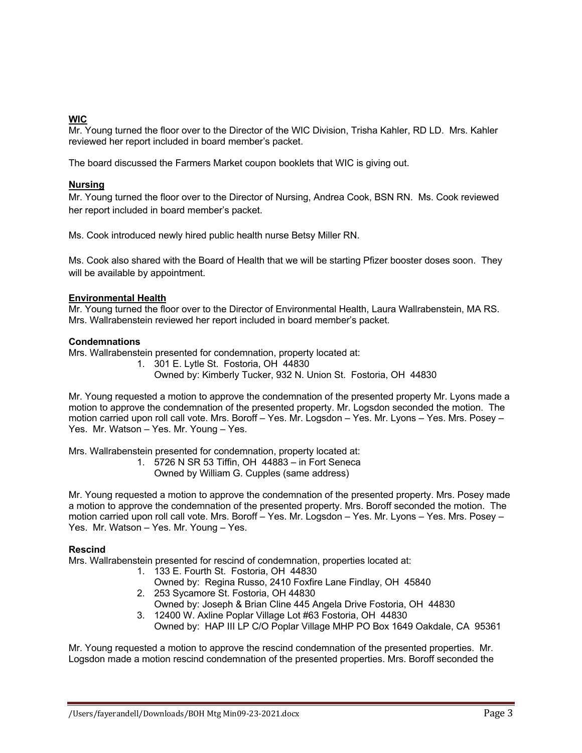# **WIC**

Mr. Young turned the floor over to the Director of the WIC Division, Trisha Kahler, RD LD. Mrs. Kahler reviewed her report included in board member's packet.

The board discussed the Farmers Market coupon booklets that WIC is giving out.

# **Nursing**

Mr. Young turned the floor over to the Director of Nursing, Andrea Cook, BSN RN. Ms. Cook reviewed her report included in board member's packet.

Ms. Cook introduced newly hired public health nurse Betsy Miller RN.

Ms. Cook also shared with the Board of Health that we will be starting Pfizer booster doses soon. They will be available by appointment.

## **Environmental Health**

Mr. Young turned the floor over to the Director of Environmental Health, Laura Wallrabenstein, MA RS. Mrs. Wallrabenstein reviewed her report included in board member's packet.

## **Condemnations**

Mrs. Wallrabenstein presented for condemnation, property located at:

- 1. 301 E. Lytle St. Fostoria, OH 44830
	- Owned by: Kimberly Tucker, 932 N. Union St. Fostoria, OH 44830

Mr. Young requested a motion to approve the condemnation of the presented property Mr. Lyons made a motion to approve the condemnation of the presented property. Mr. Logsdon seconded the motion. The motion carried upon roll call vote. Mrs. Boroff – Yes. Mr. Logsdon – Yes. Mr. Lyons – Yes. Mrs. Posey – Yes. Mr. Watson – Yes. Mr. Young – Yes.

Mrs. Wallrabenstein presented for condemnation, property located at:

- 1. 5726 N SR 53 Tiffin, OH 44883 in Fort Seneca
	- Owned by William G. Cupples (same address)

Mr. Young requested a motion to approve the condemnation of the presented property. Mrs. Posey made a motion to approve the condemnation of the presented property. Mrs. Boroff seconded the motion. The motion carried upon roll call vote. Mrs. Boroff – Yes. Mr. Logsdon – Yes. Mr. Lyons – Yes. Mrs. Posey – Yes. Mr. Watson – Yes. Mr. Young – Yes.

## **Rescind**

Mrs. Wallrabenstein presented for rescind of condemnation, properties located at:

- 1. 133 E. Fourth St. Fostoria, OH 44830
	- Owned by: Regina Russo, 2410 Foxfire Lane Findlay, OH 45840
- 2. 253 Sycamore St. Fostoria, OH 44830
- Owned by: Joseph & Brian Cline 445 Angela Drive Fostoria, OH 44830
- 3. 12400 W. Axline Poplar Village Lot #63 Fostoria, OH 44830 Owned by: HAP III LP C/O Poplar Village MHP PO Box 1649 Oakdale, CA 95361

Mr. Young requested a motion to approve the rescind condemnation of the presented properties. Mr. Logsdon made a motion rescind condemnation of the presented properties. Mrs. Boroff seconded the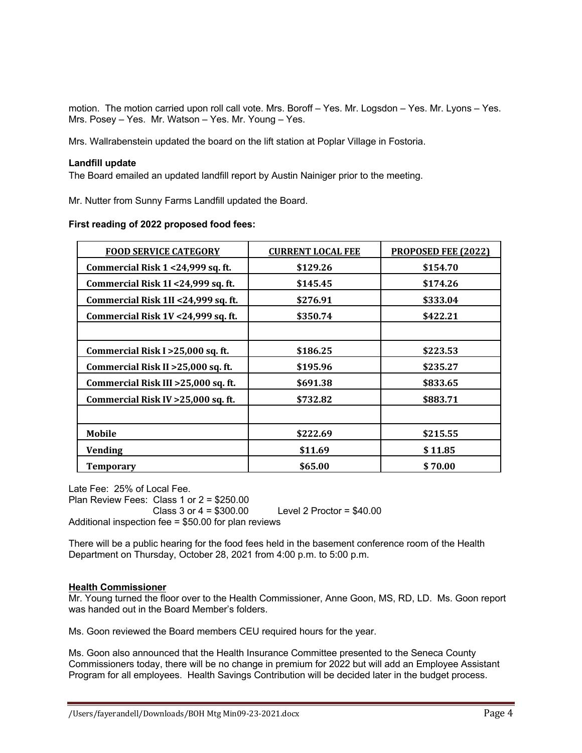motion. The motion carried upon roll call vote. Mrs. Boroff – Yes. Mr. Logsdon – Yes. Mr. Lyons – Yes. Mrs. Posey – Yes. Mr. Watson – Yes. Mr. Young – Yes.

Mrs. Wallrabenstein updated the board on the lift station at Poplar Village in Fostoria.

## **Landfill update**

The Board emailed an updated landfill report by Austin Nainiger prior to the meeting.

Mr. Nutter from Sunny Farms Landfill updated the Board.

## **First reading of 2022 proposed food fees:**

| <b>FOOD SERVICE CATEGORY</b>         | <b>CURRENT LOCAL FEE</b> | <b>PROPOSED FEE (2022)</b> |
|--------------------------------------|--------------------------|----------------------------|
| Commercial Risk 1 <24,999 sq. ft.    | \$129.26                 | \$154.70                   |
| Commercial Risk 1I <24,999 sq. ft.   | \$145.45                 | \$174.26                   |
| Commercial Risk 1II <24,999 sq. ft.  | \$276.91                 | \$333.04                   |
| Commercial Risk 1V <24,999 sq. ft.   | \$350.74                 | \$422.21                   |
|                                      |                          |                            |
| Commercial Risk I > 25,000 sq. ft.   | \$186.25                 | \$223.53                   |
| Commercial Risk II > 25,000 sq. ft.  | \$195.96                 | \$235.27                   |
| Commercial Risk III > 25,000 sq. ft. | \$691.38                 | \$833.65                   |
| Commercial Risk IV > 25,000 sq. ft.  | \$732.82                 | \$883.71                   |
|                                      |                          |                            |
| <b>Mobile</b>                        | \$222.69                 | \$215.55                   |
| <b>Vending</b>                       | \$11.69                  | \$11.85                    |
| <b>Temporary</b>                     | \$65.00                  | \$70.00                    |

Late Fee: 25% of Local Fee.

Plan Review Fees: Class 1 or 2 = \$250.00 Class 3 or 4 = \$300.00 Level 2 Proctor = \$40.00 Additional inspection fee = \$50.00 for plan reviews

There will be a public hearing for the food fees held in the basement conference room of the Health Department on Thursday, October 28, 2021 from 4:00 p.m. to 5:00 p.m.

## **Health Commissioner**

Mr. Young turned the floor over to the Health Commissioner, Anne Goon, MS, RD, LD. Ms. Goon report was handed out in the Board Member's folders.

Ms. Goon reviewed the Board members CEU required hours for the year.

Ms. Goon also announced that the Health Insurance Committee presented to the Seneca County Commissioners today, there will be no change in premium for 2022 but will add an Employee Assistant Program for all employees. Health Savings Contribution will be decided later in the budget process.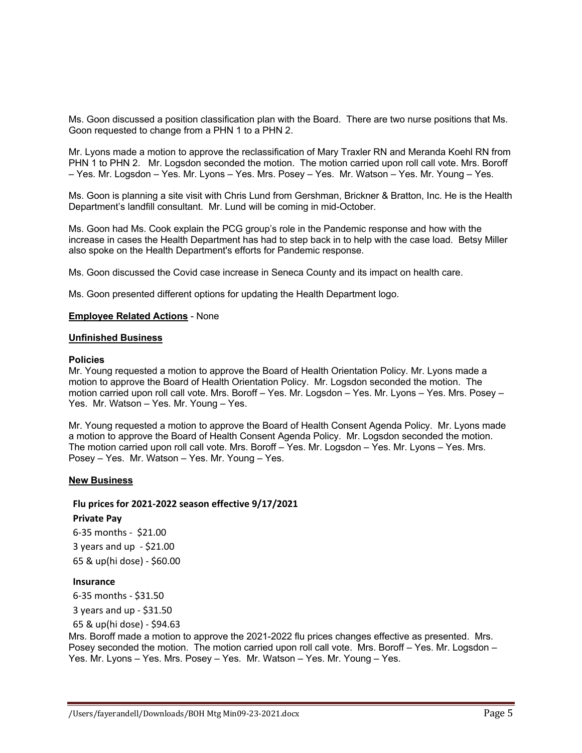Ms. Goon discussed a position classification plan with the Board. There are two nurse positions that Ms. Goon requested to change from a PHN 1 to a PHN 2.

Mr. Lyons made a motion to approve the reclassification of Mary Traxler RN and Meranda Koehl RN from PHN 1 to PHN 2. Mr. Logsdon seconded the motion. The motion carried upon roll call vote. Mrs. Boroff – Yes. Mr. Logsdon – Yes. Mr. Lyons – Yes. Mrs. Posey – Yes. Mr. Watson – Yes. Mr. Young – Yes.

Ms. Goon is planning a site visit with Chris Lund from Gershman, Brickner & Bratton, Inc. He is the Health Department's landfill consultant. Mr. Lund will be coming in mid-October.

Ms. Goon had Ms. Cook explain the PCG group's role in the Pandemic response and how with the increase in cases the Health Department has had to step back in to help with the case load. Betsy Miller also spoke on the Health Department's efforts for Pandemic response.

Ms. Goon discussed the Covid case increase in Seneca County and its impact on health care.

Ms. Goon presented different options for updating the Health Department logo.

### **Employee Related Actions** - None

#### **Unfinished Business**

#### **Policies**

Mr. Young requested a motion to approve the Board of Health Orientation Policy. Mr. Lyons made a motion to approve the Board of Health Orientation Policy. Mr. Logsdon seconded the motion. The motion carried upon roll call vote. Mrs. Boroff – Yes. Mr. Logsdon – Yes. Mr. Lyons – Yes. Mrs. Posey – Yes. Mr. Watson – Yes. Mr. Young – Yes.

Mr. Young requested a motion to approve the Board of Health Consent Agenda Policy. Mr. Lyons made a motion to approve the Board of Health Consent Agenda Policy. Mr. Logsdon seconded the motion. The motion carried upon roll call vote. Mrs. Boroff – Yes. Mr. Logsdon – Yes. Mr. Lyons – Yes. Mrs. Posey – Yes. Mr. Watson – Yes. Mr. Young – Yes.

### **New Business**

### **Flu prices for 2021-2022 season effective 9/17/2021**

### **Private Pay**

6-35 months - \$21.00 3 years and up - \$21.00 65 & up(hi dose) - \$60.00

#### **Insurance**

6-35 months - \$31.50

3 years and up - \$31.50

65 & up(hi dose) - \$94.63

Mrs. Boroff made a motion to approve the 2021-2022 flu prices changes effective as presented. Mrs. Posey seconded the motion. The motion carried upon roll call vote. Mrs. Boroff – Yes. Mr. Logsdon – Yes. Mr. Lyons – Yes. Mrs. Posey – Yes. Mr. Watson – Yes. Mr. Young – Yes.